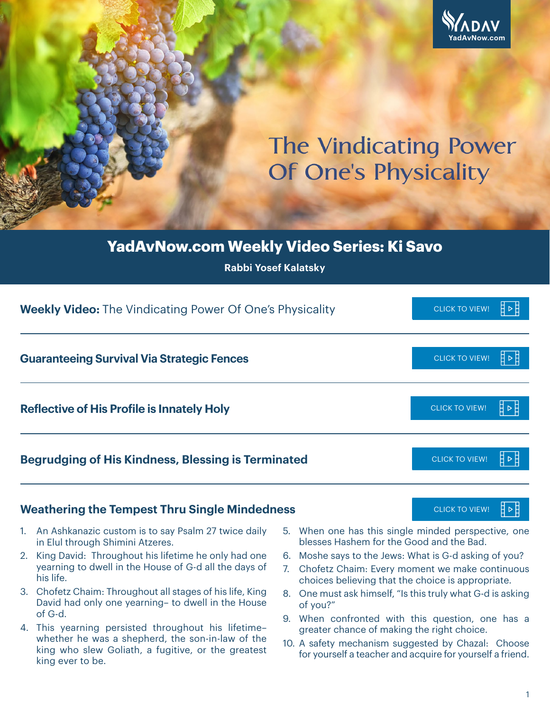

# **The Vindicating Power Of One's Physicality**

## **YadAvNow.com Weekly Video Series: Ki Savo**

**Rabbi Yosef Kalatsky**

| <b>Weekly Video:</b> The Vindicating Power Of One's Physicality | <b>CLICK TO VIEW!</b>        |
|-----------------------------------------------------------------|------------------------------|
| <b>Guaranteeing Survival Via Strategic Fences</b>               | <b>CLICK TO VIEW!</b>        |
| <b>Reflective of His Profile is Innately Holy</b>               | <b>CLICK TO VIEW!</b>        |
| <b>Begrudging of His Kindness, Blessing is Terminated</b>       | <b>CLICK TO VIEW!</b><br>┨⋗╞ |
| <b>Weathering the Tempest Thru Single Mindedness</b>            | <b>CLICK TO VIEW!</b>        |

#### **Weathering the Tempest Thru Single Mindedness** [CLICK TO VIEW!](https://youtu.be/7c9JuMdkL0k)

- 1. An Ashkanazic custom is to say Psalm 27 twice daily in Elul through Shimini Atzeres.
- 2. King David: Throughout his lifetime he only had one yearning to dwell in the House of G-d all the days of his life.
- 3. Chofetz Chaim: Throughout all stages of his life, King David had only one yearning– to dwell in the House of G-d.
- 4. This yearning persisted throughout his lifetime– whether he was a shepherd, the son-in-law of the king who slew Goliath, a fugitive, or the greatest king ever to be.
- 5. When one has this single minded perspective, one blesses Hashem for the Good and the Bad.
- 6. Moshe says to the Jews: What is G-d asking of you?
- 7. Chofetz Chaim: Every moment we make continuous choices believing that the choice is appropriate.
- 8. One must ask himself, "Is this truly what G-d is asking of you?"
- 9. When confronted with this question, one has a greater chance of making the right choice.
- 10. A safety mechanism suggested by Chazal: Choose for yourself a teacher and acquire for yourself a friend.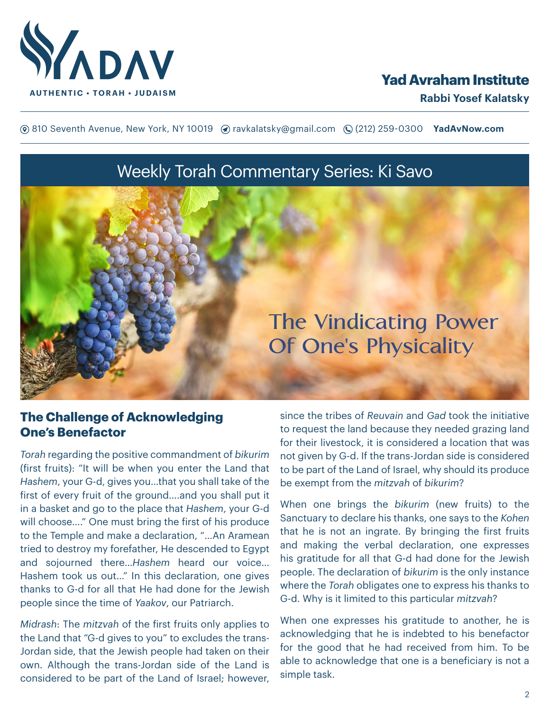

## **Yad Avraham Institute**

**(**® 810 Seventh Avenue, New York, NY 10019 (? ravkalatsky@gmail.com (2(212) 259-0300 **YadAvNow.com** 

## Weekly Torah Commentary Series: Ki Savo



#### **The Challenge of Acknowledging One's Benefactor**

*Torah* regarding the positive commandment of *bikurim* (first fruits): "It will be when you enter the Land that *Hashem*, your G-d, gives you…that you shall take of the first of every fruit of the ground….and you shall put it in a basket and go to the place that *Hashem*, your G-d will choose…." One must bring the first of his produce to the Temple and make a declaration, "…An Aramean tried to destroy my forefather, He descended to Egypt and sojourned there…*Hashem* heard our voice… Hashem took us out…" In this declaration, one gives thanks to G-d for all that He had done for the Jewish people since the time of *Yaakov*, our Patriarch.

*Midrash*: The *mitzvah* of the first fruits only applies to the Land that "G-d gives to you" to excludes the trans-Jordan side, that the Jewish people had taken on their own. Although the trans-Jordan side of the Land is considered to be part of the Land of Israel; however, since the tribes of *Reuvain* and *Gad* took the initiative to request the land because they needed grazing land for their livestock, it is considered a location that was not given by G-d. If the trans-Jordan side is considered to be part of the Land of Israel, why should its produce be exempt from the *mitzvah* of *bikurim*?

When one brings the *bikurim* (new fruits) to the Sanctuary to declare his thanks, one says to the *Kohen* that he is not an ingrate. By bringing the first fruits and making the verbal declaration, one expresses his gratitude for all that G-d had done for the Jewish people. The declaration of *bikurim* is the only instance where the *Torah* obligates one to express his thanks to G-d. Why is it limited to this particular *mitzvah*?

When one expresses his gratitude to another, he is acknowledging that he is indebted to his benefactor for the good that he had received from him. To be able to acknowledge that one is a beneficiary is not a simple task.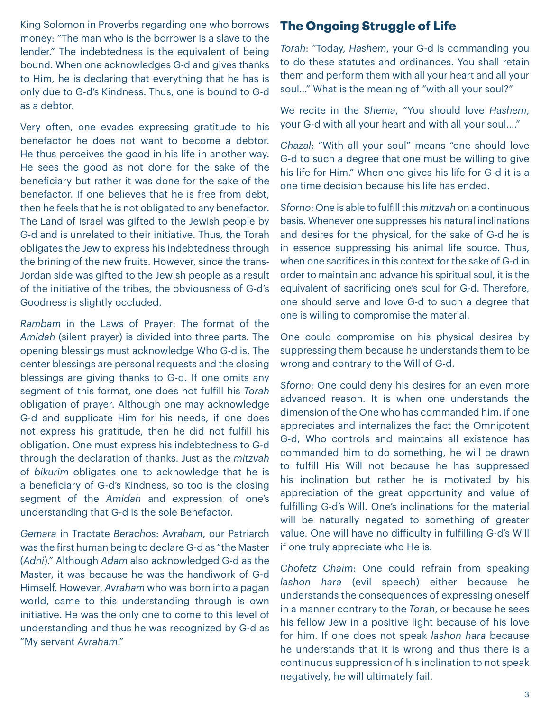King Solomon in Proverbs regarding one who borrows money: "The man who is the borrower is a slave to the lender." The indebtedness is the equivalent of being bound. When one acknowledges G-d and gives thanks to Him, he is declaring that everything that he has is only due to G-d's Kindness. Thus, one is bound to G-d as a debtor.

Very often, one evades expressing gratitude to his benefactor he does not want to become a debtor. He thus perceives the good in his life in another way. He sees the good as not done for the sake of the beneficiary but rather it was done for the sake of the benefactor. If one believes that he is free from debt, then he feels that he is not obligated to any benefactor. The Land of Israel was gifted to the Jewish people by G-d and is unrelated to their initiative. Thus, the Torah obligates the Jew to express his indebtedness through the brining of the new fruits. However, since the trans-Jordan side was gifted to the Jewish people as a result of the initiative of the tribes, the obviousness of G-d's Goodness is slightly occluded.

*Rambam* in the Laws of Prayer: The format of the *Amidah* (silent prayer) is divided into three parts. The opening blessings must acknowledge Who G-d is. The center blessings are personal requests and the closing blessings are giving thanks to G-d. If one omits any segment of this format, one does not fulfill his *Torah* obligation of prayer. Although one may acknowledge G-d and supplicate Him for his needs, if one does not express his gratitude, then he did not fulfill his obligation. One must express his indebtedness to G-d through the declaration of thanks. Just as the *mitzvah* of *bikurim* obligates one to acknowledge that he is a beneficiary of G-d's Kindness, so too is the closing segment of the *Amidah* and expression of one's understanding that G-d is the sole Benefactor.

*Gemara* in Tractate *Berachos*: *Avraham*, our Patriarch was the first human being to declare G-d as "the Master (*Adni*)." Although *Adam* also acknowledged G-d as the Master, it was because he was the handiwork of G-d Himself. However, *Avraham* who was born into a pagan world, came to this understanding through is own initiative. He was the only one to come to this level of understanding and thus he was recognized by G-d as "My servant *Avraham*."

### **The Ongoing Struggle of Life**

*Torah*: "Today, *Hashem*, your G-d is commanding you to do these statutes and ordinances. You shall retain them and perform them with all your heart and all your soul…" What is the meaning of "with all your soul?"

We recite in the *Shema*, "You should love *Hashem*, your G-d with all your heart and with all your soul…."

*Chazal*: "With all your soul" means "one should love G-d to such a degree that one must be willing to give his life for Him." When one gives his life for G-d it is a one time decision because his life has ended.

*Sforno*: One is able to fulfill this *mitzvah* on a continuous basis. Whenever one suppresses his natural inclinations and desires for the physical, for the sake of G-d he is in essence suppressing his animal life source. Thus, when one sacrifices in this context for the sake of G-d in order to maintain and advance his spiritual soul, it is the equivalent of sacrificing one's soul for G-d. Therefore, one should serve and love G-d to such a degree that one is willing to compromise the material.

One could compromise on his physical desires by suppressing them because he understands them to be wrong and contrary to the Will of G-d.

*Sforno*: One could deny his desires for an even more advanced reason. It is when one understands the dimension of the One who has commanded him. If one appreciates and internalizes the fact the Omnipotent G-d, Who controls and maintains all existence has commanded him to do something, he will be drawn to fulfill His Will not because he has suppressed his inclination but rather he is motivated by his appreciation of the great opportunity and value of fulfilling G-d's Will. One's inclinations for the material will be naturally negated to something of greater value. One will have no difficulty in fulfilling G-d's Will if one truly appreciate who He is.

*Chofetz Chaim*: One could refrain from speaking *lashon hara* (evil speech) either because he understands the consequences of expressing oneself in a manner contrary to the *Torah*, or because he sees his fellow Jew in a positive light because of his love for him. If one does not speak *lashon hara* because he understands that it is wrong and thus there is a continuous suppression of his inclination to not speak negatively, he will ultimately fail.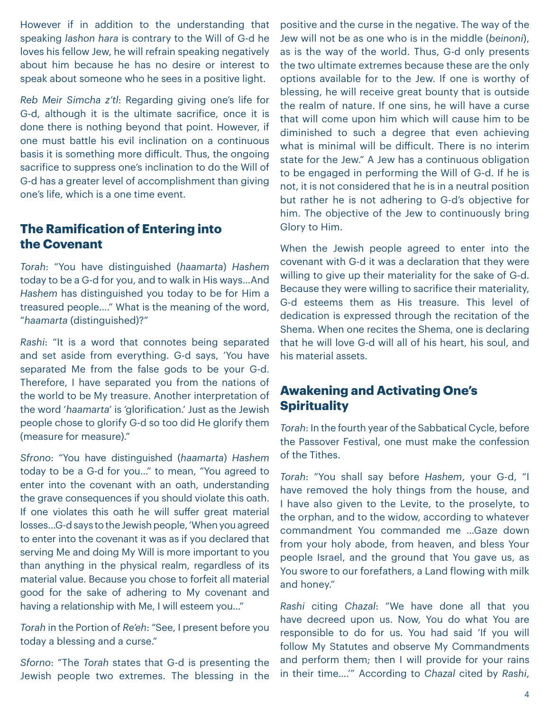However if in addition to the understanding that speaking *lashon hara* is contrary to the Will of G-d he loves his fellow Jew, he will refrain speaking negatively about him because he has no desire or interest to speak about someone who he sees in a positive light.

*Reb Meir Simcha z'tl*: Regarding giving one's life for G-d, although it is the ultimate sacrifice, once it is done there is nothing beyond that point. However, if one must battle his evil inclination on a continuous basis it is something more difficult. Thus, the ongoing sacrifice to suppress one's inclination to do the Will of G-d has a greater level of accomplishment than giving one's life, which is a one time event.

### **The Ramification of Entering into the Covenant**

*Torah*: "You have distinguished (*haamarta*) *Hashem* today to be a G-d for you, and to walk in His ways…And *Hashem* has distinguished you today to be for Him a treasured people…." What is the meaning of the word, "*haamarta* (distinguished)?"

*Rashi*: "It is a word that connotes being separated and set aside from everything. G-d says, 'You have separated Me from the false gods to be your G-d. Therefore, I have separated you from the nations of the world to be My treasure. Another interpretation of the word '*haamarta*' is 'glorification.' Just as the Jewish people chose to glorify G-d so too did He glorify them (measure for measure)."

*Sfrono*: "You have distinguished (*haamarta*) *Hashem* today to be a G-d for you…" to mean, "You agreed to enter into the covenant with an oath, understanding the grave consequences if you should violate this oath. If one violates this oath he will suffer great material losses…G-d says to the Jewish people, 'When you agreed to enter into the covenant it was as if you declared that serving Me and doing My Will is more important to you than anything in the physical realm, regardless of its material value. Because you chose to forfeit all material good for the sake of adhering to My covenant and having a relationship with Me, I will esteem you…"

*Torah* in the Portion of *Re'eh*: "See, I present before you today a blessing and a curse."

*Sforno*: "The *Torah* states that G-d is presenting the Jewish people two extremes. The blessing in the

positive and the curse in the negative. The way of the Jew will not be as one who is in the middle (*beinoni*), as is the way of the world. Thus, G-d only presents the two ultimate extremes because these are the only options available for to the Jew. If one is worthy of blessing, he will receive great bounty that is outside the realm of nature. If one sins, he will have a curse that will come upon him which will cause him to be diminished to such a degree that even achieving what is minimal will be difficult. There is no interim state for the Jew." A Jew has a continuous obligation to be engaged in performing the Will of G-d. If he is not, it is not considered that he is in a neutral position but rather he is not adhering to G-d's objective for him. The objective of the Jew to continuously bring Glory to Him.

When the Jewish people agreed to enter into the covenant with G-d it was a declaration that they were willing to give up their materiality for the sake of G-d. Because they were willing to sacrifice their materiality, G-d esteems them as His treasure. This level of dedication is expressed through the recitation of the Shema. When one recites the Shema, one is declaring that he will love G-d will all of his heart, his soul, and his material assets.

#### **Awakening and Activating One's Spirituality**

*Torah*: In the fourth year of the Sabbatical Cycle, before the Passover Festival, one must make the confession of the Tithes.

*Torah*: "You shall say before *Hashem*, your G-d, "I have removed the holy things from the house, and I have also given to the Levite, to the proselyte, to the orphan, and to the widow, according to whatever commandment You commanded me …Gaze down from your holy abode, from heaven, and bless Your people Israel, and the ground that You gave us, as You swore to our forefathers, a Land flowing with milk and honey."

*Rashi* citing *Chazal*: "We have done all that you have decreed upon us. Now, You do what You are responsible to do for us. You had said 'If you will follow My Statutes and observe My Commandments and perform them; then I will provide for your rains in their time….'" According to *Chazal* cited by *Rashi*,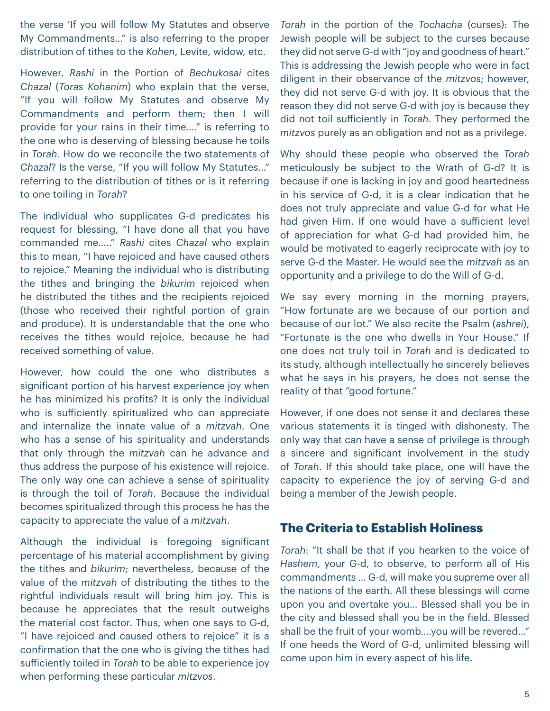the verse 'If you will follow My Statutes and observe My Commandments…" is also referring to the proper distribution of tithes to the *Kohen*, Levite, widow, etc.

However, *Rashi* in the Portion of *Bechukosai* cites *Chazal* (*Toras Kohanim*) who explain that the verse, "If you will follow My Statutes and observe My Commandments and perform them; then I will provide for your rains in their time…." is referring to the one who is deserving of blessing because he toils in *Torah*. How do we reconcile the two statements of *Chazal*? Is the verse, "If you will follow My Statutes…" referring to the distribution of tithes or is it referring to one toiling in *Torah*?

The individual who supplicates G-d predicates his request for blessing, "I have done all that you have commanded me….." *Rashi* cites *Chazal* who explain this to mean, "I have rejoiced and have caused others to rejoice." Meaning the individual who is distributing the tithes and bringing the *bikurim* rejoiced when he distributed the tithes and the recipients rejoiced (those who received their rightful portion of grain and produce). It is understandable that the one who receives the tithes would rejoice, because he had received something of value.

However, how could the one who distributes a significant portion of his harvest experience joy when he has minimized his profits? It is only the individual who is sufficiently spiritualized who can appreciate and internalize the innate value of a *mitzvah*. One who has a sense of his spirituality and understands that only through the *mitzvah* can he advance and thus address the purpose of his existence will rejoice. The only way one can achieve a sense of spirituality is through the toil of *Torah*. Because the individual becomes spiritualized through this process he has the capacity to appreciate the value of a *mitzvah*.

Although the individual is foregoing significant percentage of his material accomplishment by giving the tithes and *bikurim*; nevertheless, because of the value of the *mitzvah* of distributing the tithes to the rightful individuals result will bring him joy. This is because he appreciates that the result outweighs the material cost factor. Thus, when one says to G-d, "I have rejoiced and caused others to rejoice" it is a confirmation that the one who is giving the tithes had sufficiently toiled in *Torah* to be able to experience joy when performing these particular *mitzvos*.

*Torah* in the portion of the *Tochacha* (curses): The Jewish people will be subject to the curses because they did not serve G-d with "joy and goodness of heart." This is addressing the Jewish people who were in fact diligent in their observance of the *mitzvos*; however, they did not serve G-d with joy. It is obvious that the reason they did not serve G-d with joy is because they did not toil sufficiently in *Torah*. They performed the *mitzvos* purely as an obligation and not as a privilege.

Why should these people who observed the *Torah* meticulously be subject to the Wrath of G-d? It is because if one is lacking in joy and good heartedness in his service of G-d, it is a clear indication that he does not truly appreciate and value G-d for what He had given Him. If one would have a sufficient level of appreciation for what G-d had provided him, he would be motivated to eagerly reciprocate with joy to serve G-d the Master. He would see the *mitzvah* as an opportunity and a privilege to do the Will of G-d.

We say every morning in the morning prayers, "How fortunate are we because of our portion and because of our lot." We also recite the Psalm (*ashrei*), "Fortunate is the one who dwells in Your House." If one does not truly toil in *Torah* and is dedicated to its study, although intellectually he sincerely believes what he says in his prayers, he does not sense the reality of that "good fortune."

However, if one does not sense it and declares these various statements it is tinged with dishonesty. The only way that can have a sense of privilege is through a sincere and significant involvement in the study of *Torah*. If this should take place, one will have the capacity to experience the joy of serving G-d and being a member of the Jewish people.

#### **The Criteria to Establish Holiness**

*Torah*: "It shall be that if you hearken to the voice of *Hashem*, your G-d, to observe, to perform all of His commandments … G-d, will make you supreme over all the nations of the earth. All these blessings will come upon you and overtake you… Blessed shall you be in the city and blessed shall you be in the field. Blessed shall be the fruit of your womb….you will be revered..." If one heeds the Word of G-d, unlimited blessing will come upon him in every aspect of his life.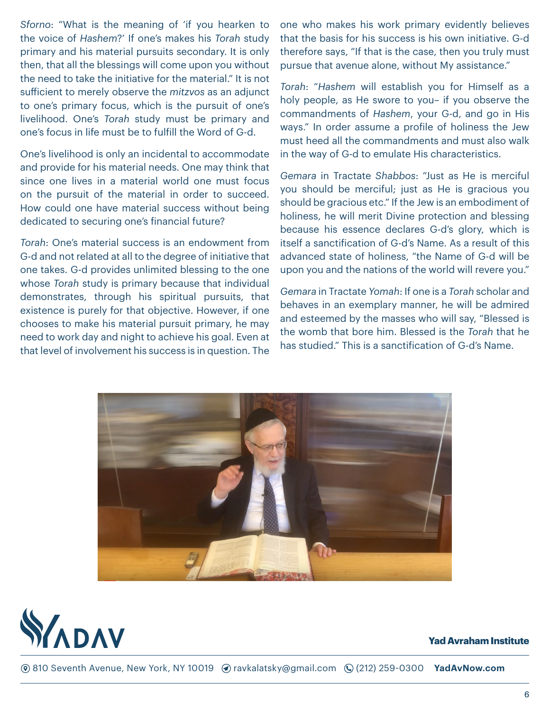*Sforno*: "What is the meaning of 'if you hearken to the voice of *Hashem*?' If one's makes his *Torah* study primary and his material pursuits secondary. It is only then, that all the blessings will come upon you without the need to take the initiative for the material." It is not sufficient to merely observe the *mitzvos* as an adjunct to one's primary focus, which is the pursuit of one's livelihood. One's *Torah* study must be primary and one's focus in life must be to fulfill the Word of G-d.

One's livelihood is only an incidental to accommodate and provide for his material needs. One may think that since one lives in a material world one must focus on the pursuit of the material in order to succeed. How could one have material success without being dedicated to securing one's financial future?

*Torah*: One's material success is an endowment from G-d and not related at all to the degree of initiative that one takes. G-d provides unlimited blessing to the one whose *Torah* study is primary because that individual demonstrates, through his spiritual pursuits, that existence is purely for that objective. However, if one chooses to make his material pursuit primary, he may need to work day and night to achieve his goal. Even at that level of involvement his success is in question. The

one who makes his work primary evidently believes that the basis for his success is his own initiative. G-d therefore says, "If that is the case, then you truly must pursue that avenue alone, without My assistance."

*Torah*: "*Hashem* will establish you for Himself as a holy people, as He swore to you– if you observe the commandments of *Hashem*, your G-d, and go in His ways." In order assume a profile of holiness the Jew must heed all the commandments and must also walk in the way of G-d to emulate His characteristics.

*Gemara* in Tractate *Shabbos*: "Just as He is merciful you should be merciful; just as He is gracious you should be gracious etc." If the Jew is an embodiment of holiness, he will merit Divine protection and blessing because his essence declares G-d's glory, which is itself a sanctification of G-d's Name. As a result of this advanced state of holiness, "the Name of G-d will be upon you and the nations of the world will revere you."

*Gemara* in Tractate *Yomah*: If one is a *Torah* scholar and behaves in an exemplary manner, he will be admired and esteemed by the masses who will say, "Blessed is the womb that bore him. Blessed is the *Torah* that he has studied." This is a sanctification of G-d's Name.





#### **Yad Avraham Institute**

**(6)** 810 Seventh Avenue, New York, NY 10019 (a) ravkalatsky@gmail.com (Q (212) 259-0300 **YadAvNow.com**